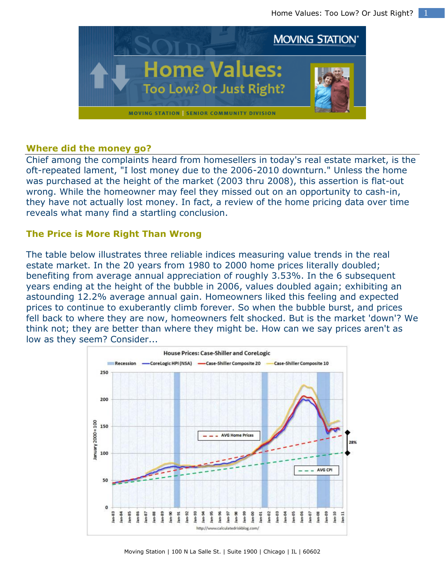

## **Where did the money go?**

Chief among the complaints heard from homesellers in today's real estate market, is the oft-repeated lament, "I lost money due to the 2006-2010 downturn." Unless the home was purchased at the height of the market (2003 thru 2008), this assertion is flat-out wrong. While the homeowner may feel they missed out on an opportunity to cash-in, they have not actually lost money. In fact, a review of the home pricing data over time reveals what many find a startling conclusion.

## **The Price is More Right Than Wrong**

The table below illustrates three reliable indices measuring value trends in the real estate market. In the 20 years from 1980 to 2000 home prices literally doubled; benefiting from average annual appreciation of roughly 3.53%. In the 6 subsequent years ending at the height of the bubble in 2006, values doubled again; exhibiting an astounding 12.2% average annual gain. Homeowners liked this feeling and expected prices to continue to exuberantly climb forever. So when the bubble burst, and prices fell back to where they are now, homeowners felt shocked. But is the market 'down'? We think not; they are better than where they might be. How can we say prices aren't as low as they seem? Consider...